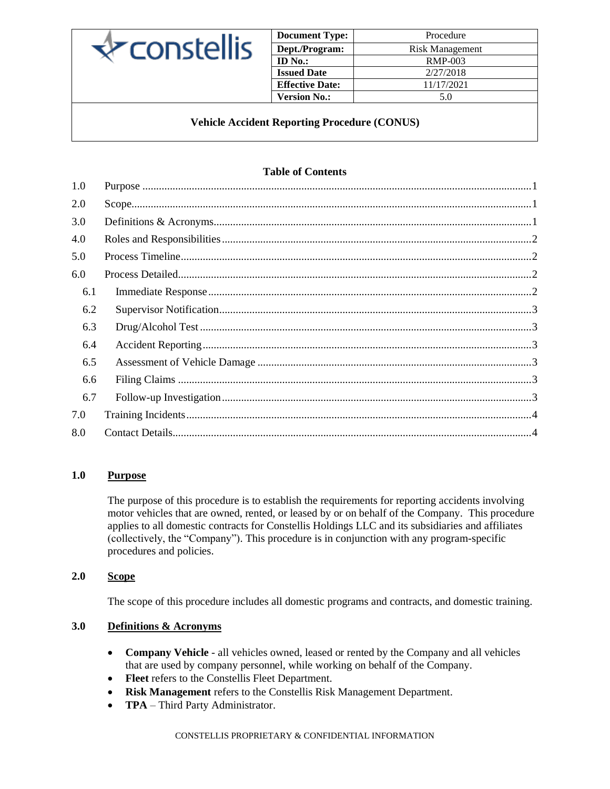

| <b>Document Type:</b>  | Procedure       |
|------------------------|-----------------|
| Dept./Program:         | Risk Management |
| ID $No.$ :             | <b>RMP-003</b>  |
| <b>Issued Date</b>     | 2/27/2018       |
| <b>Effective Date:</b> | 11/17/2021      |
| <b>Version No.:</b>    | 5.0             |

## **Vehicle Accident Reporting Procedure (CONUS)**

# **Table of Contents**

### <span id="page-0-0"></span>**1.0 Purpose**

The purpose of this procedure is to establish the requirements for reporting accidents involving motor vehicles that are owned, rented, or leased by or on behalf of the Company. This procedure applies to all domestic contracts for Constellis Holdings LLC and its subsidiaries and affiliates (collectively, the "Company"). This procedure is in conjunction with any program-specific procedures and policies.

### <span id="page-0-1"></span>**2.0 Scope**

The scope of this procedure includes all domestic programs and contracts, and domestic training.

## <span id="page-0-2"></span>**3.0 Definitions & Acronyms**

- **Company Vehicle** all vehicles owned, leased or rented by the Company and all vehicles that are used by company personnel, while working on behalf of the Company.
- **Fleet** refers to the Constellis Fleet Department.
- **Risk Management** refers to the Constellis Risk Management Department.
- **TPA** Third Party Administrator.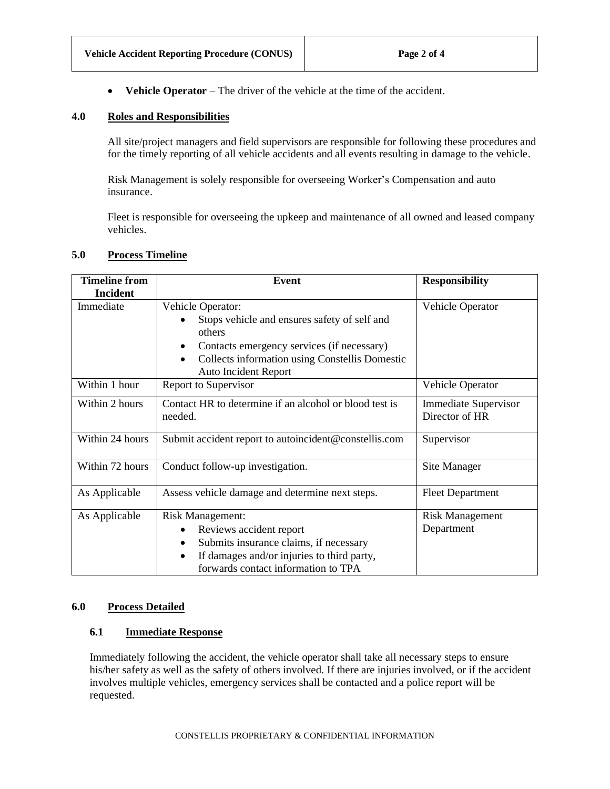• **Vehicle Operator** – The driver of the vehicle at the time of the accident.

### <span id="page-1-0"></span>**4.0 Roles and Responsibilities**

All site/project managers and field supervisors are responsible for following these procedures and for the timely reporting of all vehicle accidents and all events resulting in damage to the vehicle.

Risk Management is solely responsible for overseeing Worker's Compensation and auto insurance.

Fleet is responsible for overseeing the upkeep and maintenance of all owned and leased company vehicles.

### <span id="page-1-1"></span>**5.0 Process Timeline**

| <b>Timeline from</b> | <b>Event</b>                                                                               | <b>Responsibility</b>                         |
|----------------------|--------------------------------------------------------------------------------------------|-----------------------------------------------|
| <b>Incident</b>      |                                                                                            |                                               |
| Immediate            | Vehicle Operator:                                                                          | Vehicle Operator                              |
|                      | Stops vehicle and ensures safety of self and<br>others                                     |                                               |
|                      | Contacts emergency services (if necessary)<br>٠                                            |                                               |
|                      | Collects information using Constellis Domestic<br>$\bullet$<br><b>Auto Incident Report</b> |                                               |
| Within 1 hour        | Report to Supervisor                                                                       | Vehicle Operator                              |
| Within 2 hours       | Contact HR to determine if an alcohol or blood test is<br>needed.                          | <b>Immediate Supervisor</b><br>Director of HR |
| Within 24 hours      | Submit accident report to autoincident@constellis.com                                      | Supervisor                                    |
| Within 72 hours      | Conduct follow-up investigation.                                                           | Site Manager                                  |
| As Applicable        | Assess vehicle damage and determine next steps.                                            | <b>Fleet Department</b>                       |
| As Applicable        | <b>Risk Management:</b>                                                                    | <b>Risk Management</b>                        |
|                      | Reviews accident report<br>٠                                                               | Department                                    |
|                      | Submits insurance claims, if necessary<br>٠                                                |                                               |
|                      | If damages and/or injuries to third party,<br>٠                                            |                                               |
|                      | forwards contact information to TPA                                                        |                                               |

#### <span id="page-1-2"></span>**6.0 Process Detailed**

### <span id="page-1-3"></span>**6.1 Immediate Response**

Immediately following the accident, the vehicle operator shall take all necessary steps to ensure his/her safety as well as the safety of others involved. If there are injuries involved, or if the accident involves multiple vehicles, emergency services shall be contacted and a police report will be requested.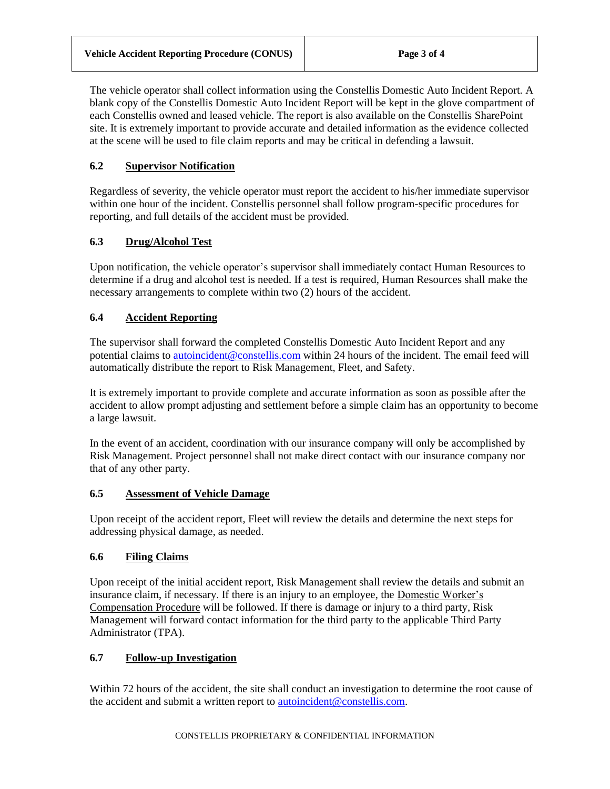The vehicle operator shall collect information using the Constellis Domestic Auto Incident Report*.* A blank copy of the Constellis Domestic Auto Incident Report will be kept in the glove compartment of each Constellis owned and leased vehicle. The report is also available on the Constellis SharePoint site. It is extremely important to provide accurate and detailed information as the evidence collected at the scene will be used to file claim reports and may be critical in defending a lawsuit.

# <span id="page-2-0"></span>**6.2 Supervisor Notification**

Regardless of severity, the vehicle operator must report the accident to his/her immediate supervisor within one hour of the incident. Constellis personnel shall follow program-specific procedures for reporting, and full details of the accident must be provided.

# <span id="page-2-1"></span>**6.3 Drug/Alcohol Test**

Upon notification, the vehicle operator's supervisor shall immediately contact Human Resources to determine if a drug and alcohol test is needed. If a test is required, Human Resources shall make the necessary arrangements to complete within two (2) hours of the accident.

# <span id="page-2-2"></span>**6.4 Accident Reporting**

The supervisor shall forward the completed Constellis Domestic Auto Incident Report and any potential claims to [autoincident@constellis.com](mailto:autoincident@constellis.com) within 24 hours of the incident. The email feed will automatically distribute the report to Risk Management, Fleet, and Safety.

It is extremely important to provide complete and accurate information as soon as possible after the accident to allow prompt adjusting and settlement before a simple claim has an opportunity to become a large lawsuit.

In the event of an accident, coordination with our insurance company will only be accomplished by Risk Management. Project personnel shall not make direct contact with our insurance company nor that of any other party.

# <span id="page-2-3"></span>**6.5 Assessment of Vehicle Damage**

Upon receipt of the accident report, Fleet will review the details and determine the next steps for addressing physical damage, as needed.

# <span id="page-2-4"></span>**6.6 Filing Claims**

Upon receipt of the initial accident report, Risk Management shall review the details and submit an insurance claim, if necessary. If there is an injury to an employee, the Domestic Worker's Compensation Procedure will be followed. If there is damage or injury to a third party, Risk Management will forward contact information for the third party to the applicable Third Party Administrator (TPA).

# <span id="page-2-5"></span>**6.7 Follow-up Investigation**

Within 72 hours of the accident, the site shall conduct an investigation to determine the root cause of the accident and submit a written report to [autoincident@constellis.com.](mailto:autoincident@constellis.com)